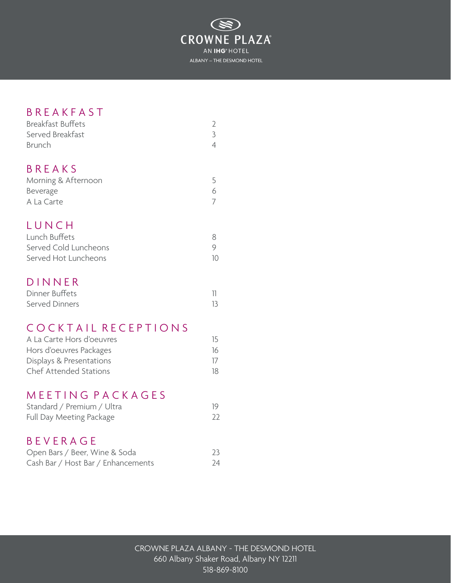

# **B R E A K F A S T**

| <b>Breakfast Buffets</b> |  |
|--------------------------|--|
| Served Breakfast         |  |
| <b>Brunch</b>            |  |

# **B R E A K S**

| Morning & Afternoon |  |
|---------------------|--|
| Beverage            |  |
| A La Carte          |  |

# **LUNCH**

| Lunch Buffets         |    |
|-----------------------|----|
| Served Cold Luncheons |    |
| Served Hot Luncheons  | 10 |

# **DINNER**

| Dinner Buffets |  |
|----------------|--|
| Served Dinners |  |

# COCKTAIL RECEPTIONS

| A La Carte Hors d'oeuvres     | 15 |
|-------------------------------|----|
| Hors d'oeuvres Packages       | 16 |
| Displays & Presentations      | 17 |
| <b>Chef Attended Stations</b> | 18 |

# MEETING PACKAGES

| Standard / Premium / Ultra |    |
|----------------------------|----|
| Full Day Meeting Package   | 22 |

# B E V E R A G E

| Open Bars / Beer, Wine & Soda      | 23 |
|------------------------------------|----|
| Cash Bar / Host Bar / Enhancements | 24 |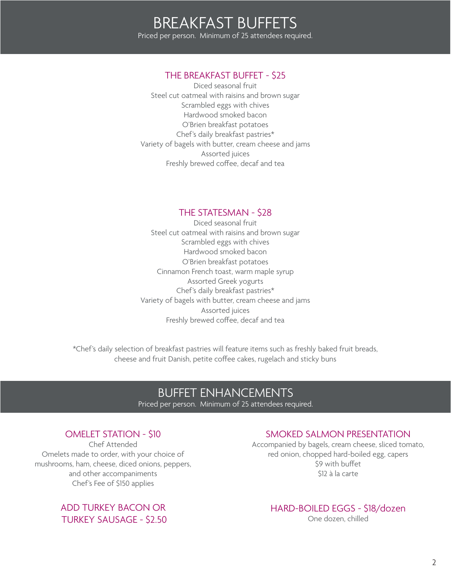## THE BREAKFAST BUFFET - \$25

Diced seasonal fruit Steel cut oatmeal with raisins and brown sugar Scrambled eggs with chives Hardwood smoked bacon O'Brien breakfast potatoes Chef's daily breakfast pastries\* Variety of bagels with butter, cream cheese and jams Assorted juices Freshly brewed coffee, decaf and tea

## THE STATESMAN - \$28

Diced seasonal fruit Steel cut oatmeal with raisins and brown sugar Scrambled eggs with chives Hardwood smoked bacon O'Brien breakfast potatoes Cinnamon French toast, warm maple syrup Assorted Greek yogurts Chef's daily breakfast pastries\* Variety of bagels with butter, cream cheese and jams Assorted juices Freshly brewed coffee, decaf and tea

\*Chef's daily selection of breakfast pastries will feature items such as freshly baked fruit breads, cheese and fruit Danish, petite coffee cakes, rugelach and sticky buns

# BUFFET ENHANCEMENTS

Priced per person. Minimum of 25 attendees required.

## OMELET STATION - \$10

Chef Attended Omelets made to order, with your choice of mushrooms, ham, cheese, diced onions, peppers, and other accompaniments Chef's Fee of \$150 applies

> ADD TURKEY BACON OR TURKEY SAUSAGE - \$2.50

## SMOKED SALMON PRESENTATION

Accompanied by bagels, cream cheese, sliced tomato, red onion, chopped hard-boiled egg, capers \$9 with buffet \$12 à la carte

# HARD-BOILED EGGS - \$18/dozen

One dozen, chilled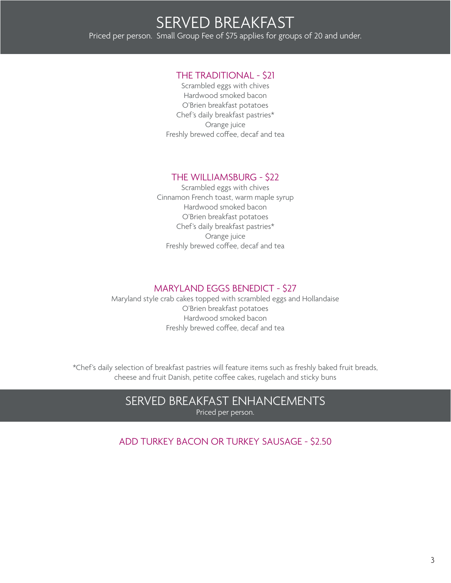### THE TRADITIONAL - \$21

Scrambled eggs with chives Hardwood smoked bacon O'Brien breakfast potatoes Chef's daily breakfast pastries\* Orange juice Freshly brewed coffee, decaf and tea

## THE WILLIAMSBURG - \$22

Scrambled eggs with chives Cinnamon French toast, warm maple syrup Hardwood smoked bacon O'Brien breakfast potatoes Chef's daily breakfast pastries\* Orange juice Freshly brewed coffee, decaf and tea

## MARYLAND EGGS BENEDICT - \$27

Maryland style crab cakes topped with scrambled eggs and Hollandaise O'Brien breakfast potatoes Hardwood smoked bacon Freshly brewed coffee, decaf and tea

\*Chef's daily selection of breakfast pastries will feature items such as freshly baked fruit breads, cheese and fruit Danish, petite coffee cakes, rugelach and sticky buns

## SERVED BREAKFAST ENHANCEMENTS Priced per person.

ADD TURKEY BACON OR TURKEY SAUSAGE - \$2.50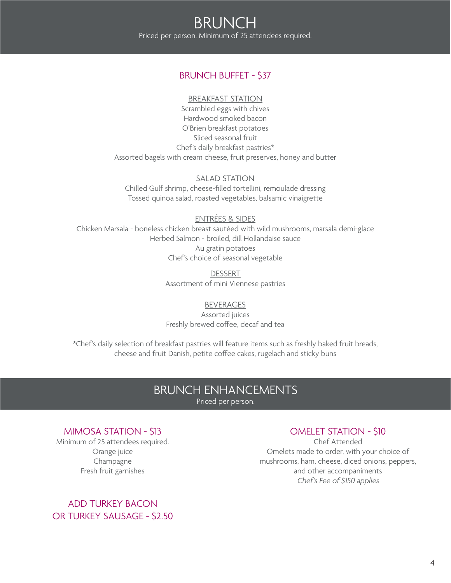## BRUNCH BUFFET - \$37

#### BREAKFAST STATION

Scrambled eggs with chives Hardwood smoked bacon O'Brien breakfast potatoes Sliced seasonal fruit Chef's daily breakfast pastries\* Assorted bagels with cream cheese, fruit preserves, honey and butter

### SALAD STATION

Chilled Gulf shrimp, cheese-filled tortellini, remoulade dressing Tossed quinoa salad, roasted vegetables, balsamic vinaigrette

## ENTRÉES & SIDES

Chicken Marsala - boneless chicken breast sautéed with wild mushrooms, marsala demi-glace Herbed Salmon - broiled, dill Hollandaise sauce Au gratin potatoes Chef's choice of seasonal vegetable

> DESSERT Assortment of mini Viennese pastries

## BEVERAGES

Assorted juices Freshly brewed coffee, decaf and tea

\*Chef's daily selection of breakfast pastries will feature items such as freshly baked fruit breads, cheese and fruit Danish, petite coffee cakes, rugelach and sticky buns

# BRUNCH ENHANCEMENTS

Priced per person.

## MIMOSA STATION - \$13

Minimum of 25 attendees required. Orange juice Champagne Fresh fruit garnishes

## ADD TURKEY BACON OR TURKEY SAUSAGE - \$2.50

## OMELET STATION - \$10

Chef Attended Omelets made to order, with your choice of mushrooms, ham, cheese, diced onions, peppers, and other accompaniments Chef's Fee of \$150 applies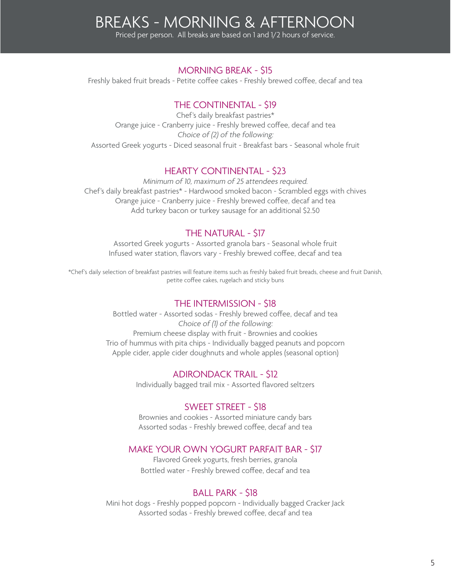# BREAKS - MORNING & AFTERNOON

Priced per person. All breaks are based on 1 and 1/2 hours of service.

### MORNING BREAK - \$15

Freshly baked fruit breads - Petite coffee cakes - Freshly brewed coffee, decaf and tea

## THE CONTINENTAL - \$19

Chef's daily breakfast pastries\* Orange juice - Cranberry juice - Freshly brewed coffee, decaf and tea Choice of (2) of the following: Assorted Greek yogurts - Diced seasonal fruit - Breakfast bars - Seasonal whole fruit

## HEARTY CONTINENTAL - \$23

Minimum of 10, maximum of 25 attendees required. Chef's daily breakfast pastries\* - Hardwood smoked bacon - Scrambled eggs with chives Orange juice - Cranberry juice - Freshly brewed coffee, decaf and tea Add turkey bacon or turkey sausage for an additional \$2.50

## THE NATURAL - \$17

Assorted Greek yogurts - Assorted granola bars - Seasonal whole fruit Infused water station, flavors vary - Freshly brewed coffee, decaf and tea

\*Chef's daily selection of breakfast pastries will feature items such as freshly baked fruit breads, cheese and fruit Danish, petite coffee cakes, rugelach and sticky buns

#### THE INTERMISSION - \$18

Bottled water - Assorted sodas - Freshly brewed coffee, decaf and tea Choice of (1) of the following: Premium cheese display with fruit - Brownies and cookies Trio of hummus with pita chips - Individually bagged peanuts and popcorn Apple cider, apple cider doughnuts and whole apples (seasonal option)

### ADIRONDACK TRAIL - \$12

Individually bagged trail mix - Assorted flavored seltzers

#### SWEET STREET - \$18

Brownies and cookies - Assorted miniature candy bars Assorted sodas - Freshly brewed coffee, decaf and tea

#### MAKE YOUR OWN YOGURT PARFAIT BAR - \$17

Flavored Greek yogurts, fresh berries, granola Bottled water - Freshly brewed coffee, decaf and tea

#### BALL PARK - \$18

Mini hot dogs - Freshly popped popcorn - Individually bagged Cracker Jack Assorted sodas - Freshly brewed coffee, decaf and tea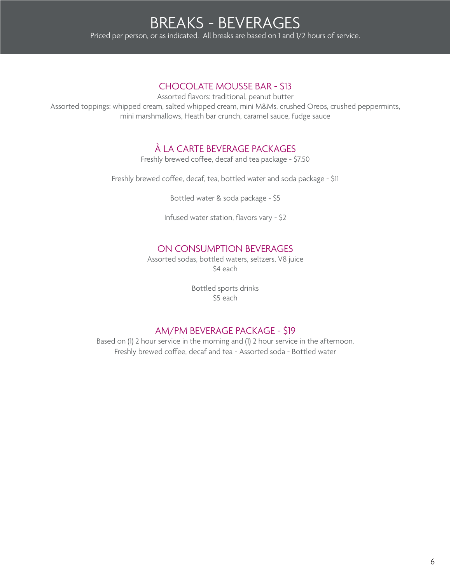## CHOCOLATE MOUSSE BAR - \$13

Assorted flavors: traditional, peanut butter

Assorted toppings: whipped cream, salted whipped cream, mini M&Ms, crushed Oreos, crushed peppermints, mini marshmallows, Heath bar crunch, caramel sauce, fudge sauce

# À LA CARTE BEVERAGE PACKAGES

Freshly brewed coffee, decaf and tea package - \$7.50

Freshly brewed coffee, decaf, tea, bottled water and soda package - \$11

Bottled water & soda package - \$5

Infused water station, flavors vary - \$2

## ON CONSUMPTION BEVERAGES

Assorted sodas, bottled waters, seltzers, V8 juice \$4 each

> Bottled sports drinks \$5 each

## AM/PM BEVERAGE PACKAGE - \$19

Based on (1) 2 hour service in the morning and (1) 2 hour service in the afternoon. Freshly brewed coffee, decaf and tea - Assorted soda - Bottled water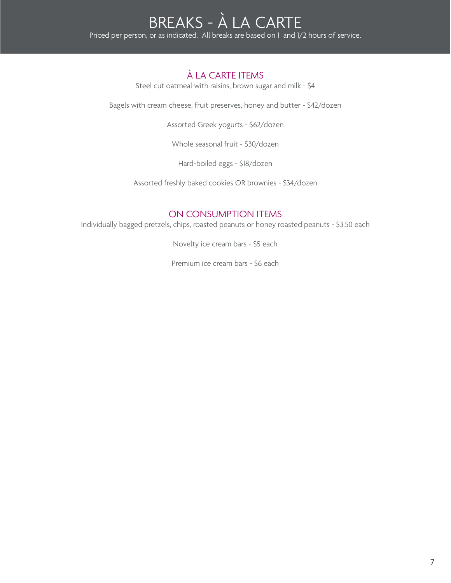# À LA CARTE ITEMS

Steel cut oatmeal with raisins, brown sugar and milk - \$4

Bagels with cream cheese, fruit preserves, honey and butter - \$42/dozen

Assorted Greek yogurts - \$62/dozen

Whole seasonal fruit - \$30/dozen

Hard-boiled eggs - \$18/dozen

Assorted freshly baked cookies OR brownies - \$34/dozen

## ON CONSUMPTION ITEMS

Individually bagged pretzels, chips, roasted peanuts or honey roasted peanuts - \$3.50 each

Novelty ice cream bars - \$5 each

Premium ice cream bars - \$6 each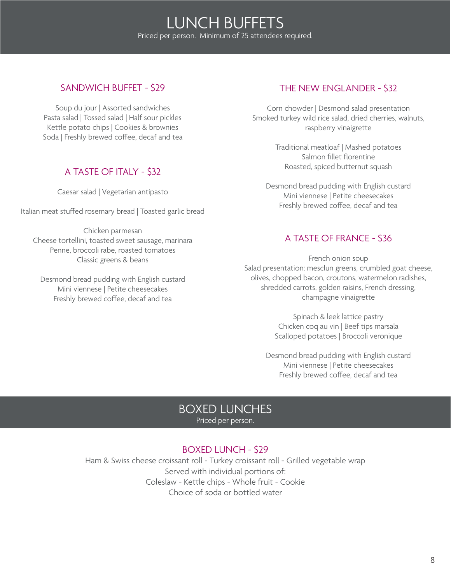# LUNCH BUFFETS Priced per person. Minimum of 25 attendees required.

## SANDWICH BUFFET - \$29

Soup du jour | Assorted sandwiches Pasta salad | Tossed salad | Half sour pickles Kettle potato chips | Cookies & brownies Soda | Freshly brewed coffee, decaf and tea

## A TASTE OF ITALY - \$32

Caesar salad | Vegetarian antipasto

Italian meat stuffed rosemary bread | Toasted garlic bread

Chicken parmesan Cheese tortellini, toasted sweet sausage, marinara Penne, broccoli rabe, roasted tomatoes Classic greens & beans

Desmond bread pudding with English custard Mini viennese | Petite cheesecakes Freshly brewed coffee, decaf and tea

## THE NEW ENGLANDER - \$32

Corn chowder | Desmond salad presentation Smoked turkey wild rice salad, dried cherries, walnuts, raspberry vinaigrette

> Traditional meatloaf | Mashed potatoes Salmon fillet florentine Roasted, spiced butternut squash

Desmond bread pudding with English custard Mini viennese | Petite cheesecakes Freshly brewed coffee, decaf and tea

## A TASTE OF FRANCE - \$36

French onion soup Salad presentation: mesclun greens, crumbled goat cheese, olives, chopped bacon, croutons, watermelon radishes, shredded carrots, golden raisins, French dressing, champagne vinaigrette

> Spinach & leek lattice pastry Chicken coq au vin | Beef tips marsala Scalloped potatoes | Broccoli veronique

Desmond bread pudding with English custard Mini viennese | Petite cheesecakes Freshly brewed coffee, decaf and tea

# BOXED LUNCHES

Priced per person.

## BOXED LUNCH - \$29

Ham & Swiss cheese croissant roll - Turkey croissant roll - Grilled vegetable wrap Served with individual portions of: Coleslaw - Kettle chips - Whole fruit - Cookie Choice of soda or bottled water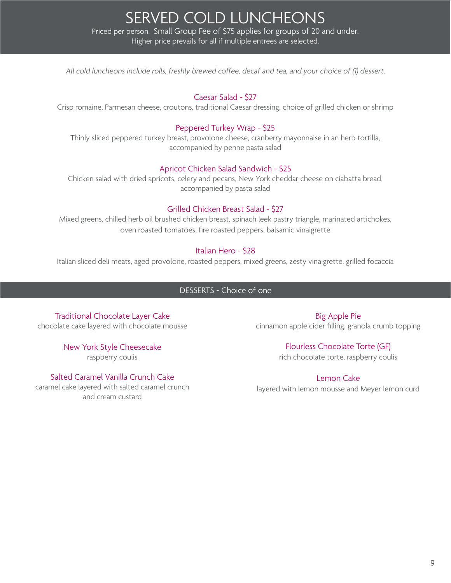SERVED COLD LUNCHEONS Priced per person. Small Group Fee of \$75 applies for groups of 20 and under. Higher price prevails for all if multiple entrees are selected.

All cold luncheons include rolls, freshly brewed coffee, decaf and tea, and your choice of (1) dessert.

#### Caesar Salad - \$27

Crisp romaine, Parmesan cheese, croutons, traditional Caesar dressing, choice of grilled chicken or shrimp

#### Peppered Turkey Wrap - \$25

Thinly sliced peppered turkey breast, provolone cheese, cranberry mayonnaise in an herb tortilla, accompanied by penne pasta salad

#### Apricot Chicken Salad Sandwich - \$25

Chicken salad with dried apricots, celery and pecans, New York cheddar cheese on ciabatta bread, accompanied by pasta salad

#### Grilled Chicken Breast Salad - \$27

Mixed greens, chilled herb oil brushed chicken breast, spinach leek pastry triangle, marinated artichokes, oven roasted tomatoes, fire roasted peppers, balsamic vinaigrette

#### Italian Hero - \$28

Italian sliced deli meats, aged provolone, roasted peppers, mixed greens, zesty vinaigrette, grilled focaccia

#### DESSERTS - Choice of one

Traditional Chocolate Layer Cake chocolate cake layered with chocolate mousse

> New York Style Cheesecake raspberry coulis

Salted Caramel Vanilla Crunch Cake caramel cake layered with salted caramel crunch and cream custard

Big Apple Pie cinnamon apple cider filling, granola crumb topping

#### Flourless Chocolate Torte (GF)

rich chocolate torte, raspberry coulis

Lemon Cake

layered with lemon mousse and Meyer lemon curd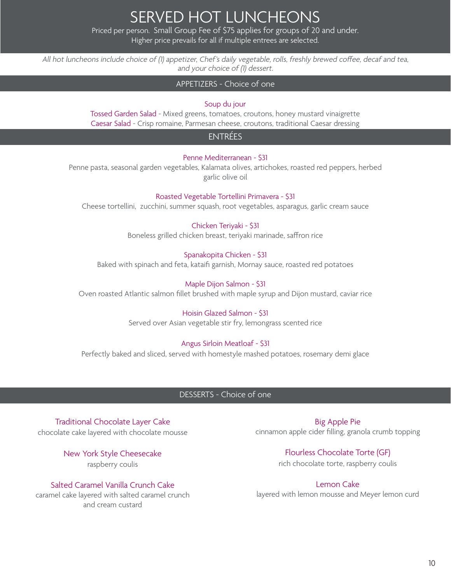SERVED HOT LUNCHEONS

Priced per person. Small Group Fee of \$75 applies for groups of 20 and under. Higher price prevails for all if multiple entrees are selected.

All hot luncheons include choice of (1) appetizer, Chef's daily vegetable, rolls, freshly brewed coffee, decaf and tea, and your choice of (1) dessert.

#### APPETIZERS - Choice of one

#### Soup du jour

Tossed Garden Salad - Mixed greens, tomatoes, croutons, honey mustard vinaigrette Caesar Salad - Crisp romaine, Parmesan cheese, croutons, traditional Caesar dressing

### ENTRÉES

#### Penne Mediterranean - \$31

Penne pasta, seasonal garden vegetables, Kalamata olives, artichokes, roasted red peppers, herbed garlic olive oil

#### Roasted Vegetable Tortellini Primavera - \$31

Cheese tortellini, zucchini, summer squash, root vegetables, asparagus, garlic cream sauce

#### Chicken Teriyaki - \$31

Boneless grilled chicken breast, teriyaki marinade, saffron rice

#### Spanakopita Chicken - \$31

Baked with spinach and feta, kataifi garnish, Mornay sauce, roasted red potatoes

#### Maple Dijon Salmon - \$31

Oven roasted Atlantic salmon fillet brushed with maple syrup and Dijon mustard, caviar rice

#### Hoisin Glazed Salmon - \$31

Served over Asian vegetable stir fry, lemongrass scented rice

#### Angus Sirloin Meatloaf - \$31

Perfectly baked and sliced, served with homestyle mashed potatoes, rosemary demi glace

#### DESSERTS - Choice of one

Traditional Chocolate Layer Cake chocolate cake layered with chocolate mousse

> New York Style Cheesecake raspberry coulis

Salted Caramel Vanilla Crunch Cake

caramel cake layered with salted caramel crunch and cream custard

Big Apple Pie cinnamon apple cider filling, granola crumb topping

> Flourless Chocolate Torte (GF) rich chocolate torte, raspberry coulis

Lemon Cake layered with lemon mousse and Meyer lemon curd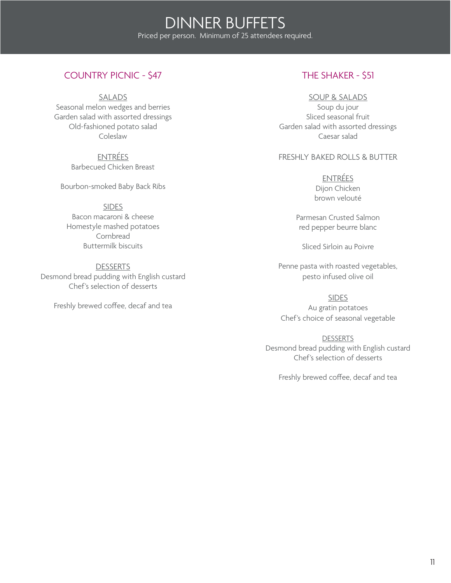## COUNTRY PICNIC - \$47

SALADS

Seasonal melon wedges and berries Garden salad with assorted dressings Old-fashioned potato salad Coleslaw

> ENTRÉES Barbecued Chicken Breast

Bourbon-smoked Baby Back Ribs

**SIDES** Bacon macaroni & cheese Homestyle mashed potatoes Cornbread Buttermilk biscuits

**DESSERTS** Desmond bread pudding with English custard Chef's selection of desserts

Freshly brewed coffee, decaf and tea

## THE SHAKER - \$51

#### SOUP & SALADS

Soup du jour Sliced seasonal fruit Garden salad with assorted dressings Caesar salad

#### FRESHLY BAKED ROLLS & BUTTER

ENTRÉES Dijon Chicken brown velouté

Parmesan Crusted Salmon red pepper beurre blanc

Sliced Sirloin au Poivre

Penne pasta with roasted vegetables, pesto infused olive oil

SIDES Au gratin potatoes Chef's choice of seasonal vegetable

**DESSERTS** Desmond bread pudding with English custard Chef's selection of desserts

Freshly brewed coffee, decaf and tea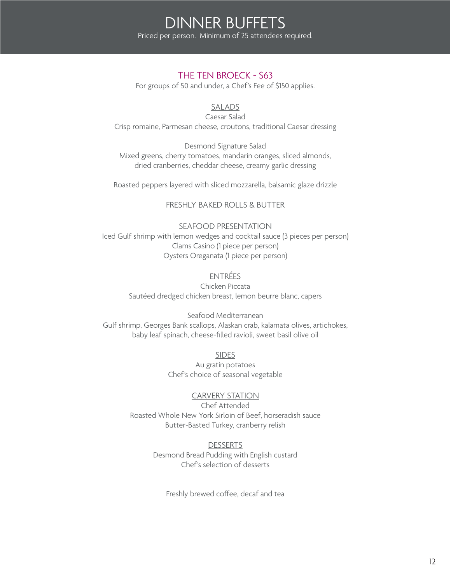## THE TEN BROECK - \$63

For groups of 50 and under, a Chef's Fee of \$150 applies.

## SALADS

Caesar Salad Crisp romaine, Parmesan cheese, croutons, traditional Caesar dressing

Desmond Signature Salad Mixed greens, cherry tomatoes, mandarin oranges, sliced almonds, dried cranberries, cheddar cheese, creamy garlic dressing

Roasted peppers layered with sliced mozzarella, balsamic glaze drizzle

FRESHLY BAKED ROLLS & BUTTER

#### SEAFOOD PRESENTATION

Iced Gulf shrimp with lemon wedges and cocktail sauce (3 pieces per person) Clams Casino (1 piece per person) Oysters Oreganata (1 piece per person)

## ENTRÉES

Chicken Piccata Sautéed dredged chicken breast, lemon beurre blanc, capers

Seafood Mediterranean Gulf shrimp, Georges Bank scallops, Alaskan crab, kalamata olives, artichokes, baby leaf spinach, cheese-filled ravioli, sweet basil olive oil

> SIDES Au gratin potatoes Chef's choice of seasonal vegetable

CARVERY STATION Chef Attended Roasted Whole New York Sirloin of Beef, horseradish sauce Butter-Basted Turkey, cranberry relish

> **DESSERTS** Desmond Bread Pudding with English custard Chef's selection of desserts

Freshly brewed coffee, decaf and tea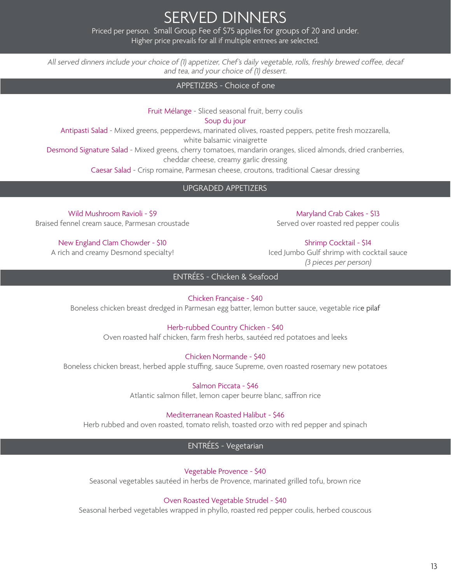SERVED DINNERS Priced per person. Small Group Fee of \$75 applies for groups of 20 and under.

Higher price prevails for all if multiple entrees are selected.

All served dinners include your choice of (1) appetizer, Chef's daily vegetable, rolls, freshly brewed coffee, decaf and tea, and your choice of (1) dessert.

APPETIZERS - Choice of one

Fruit Mélange - Sliced seasonal fruit, berry coulis Soup du jour

Antipasti Salad - Mixed greens, pepperdews, marinated olives, roasted peppers, petite fresh mozzarella,

white balsamic vinaigrette

Desmond Signature Salad - Mixed greens, cherry tomatoes, mandarin oranges, sliced almonds, dried cranberries, cheddar cheese, creamy garlic dressing

Caesar Salad - Crisp romaine, Parmesan cheese, croutons, traditional Caesar dressing

UPGRADED APPETIZERS

Wild Mushroom Ravioli - \$9 Braised fennel cream sauce, Parmesan croustade

New England Clam Chowder - \$10 A rich and creamy Desmond specialty!

Maryland Crab Cakes - \$13 Served over roasted red pepper coulis

Shrimp Cocktail - \$14

Iced Jumbo Gulf shrimp with cocktail sauce (3 pieces per person)

ENTRÉES - Chicken & Seafood

Chicken Française - \$40

Boneless chicken breast dredged in Parmesan egg batter, lemon butter sauce, vegetable rice pilaf

#### Herb-rubbed Country Chicken - \$40

Oven roasted half chicken, farm fresh herbs, sautéed red potatoes and leeks

Chicken Normande - \$40

Boneless chicken breast, herbed apple stuffing, sauce Supreme, oven roasted rosemary new potatoes

Salmon Piccata - \$46 Atlantic salmon fillet, lemon caper beurre blanc, saffron rice

Mediterranean Roasted Halibut - \$46

Herb rubbed and oven roasted, tomato relish, toasted orzo with red pepper and spinach

ENTRÉES - Vegetarian

Vegetable Provence - \$40

Seasonal vegetables sautéed in herbs de Provence, marinated grilled tofu, brown rice

Oven Roasted Vegetable Strudel - \$40

Seasonal herbed vegetables wrapped in phyllo, roasted red pepper coulis, herbed couscous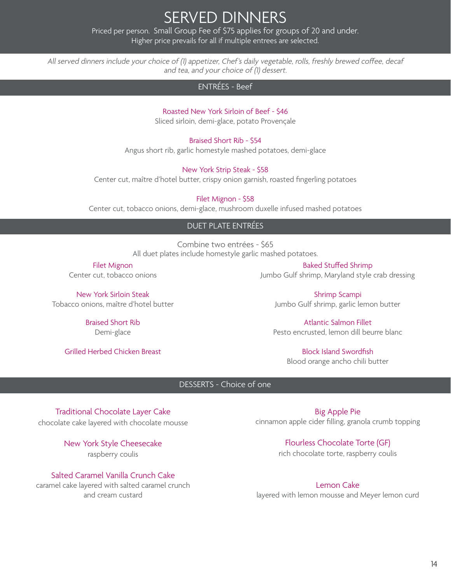# SERVED DINNERS

Priced per person. Small Group Fee of \$75 applies for groups of 20 and under. Higher price prevails for all if multiple entrees are selected.

All served dinners include your choice of (1) appetizer, Chef's daily vegetable, rolls, freshly brewed coffee, decaf and tea, and your choice of (1) dessert.

## ENTRÉES - Beef

## Roasted New York Sirloin of Beef - \$46

Sliced sirloin, demi-glace, potato Provençale

#### Braised Short Rib - \$54

Angus short rib, garlic homestyle mashed potatoes, demi-glace

#### New York Strip Steak - \$58

Center cut, maître d'hotel butter, crispy onion garnish, roasted fingerling potatoes

Filet Mignon - \$58

Center cut, tobacco onions, demi-glace, mushroom duxelle infused mashed potatoes

### DUET PLATE ENTRÉES

Combine two entrées - \$65 All duet plates include homestyle garlic mashed potatoes.

Filet Mignon Center cut, tobacco onions

New York Sirloin Steak Tobacco onions, maître d'hotel butter

> Braised Short Rib Demi-glace

Grilled Herbed Chicken Breast

Baked Stuffed Shrimp Jumbo Gulf shrimp, Maryland style crab dressing

Shrimp Scampi Jumbo Gulf shrimp, garlic lemon butter

Atlantic Salmon Fillet Pesto encrusted, lemon dill beurre blanc

> Block Island Swordfish Blood orange ancho chili butter

### DESSERTS - Choice of one

Traditional Chocolate Layer Cake chocolate cake layered with chocolate mousse

> New York Style Cheesecake raspberry coulis

Salted Caramel Vanilla Crunch Cake caramel cake layered with salted caramel crunch and cream custard

Big Apple Pie cinnamon apple cider filling, granola crumb topping

> Flourless Chocolate Torte (GF) rich chocolate torte, raspberry coulis

Lemon Cake layered with lemon mousse and Meyer lemon curd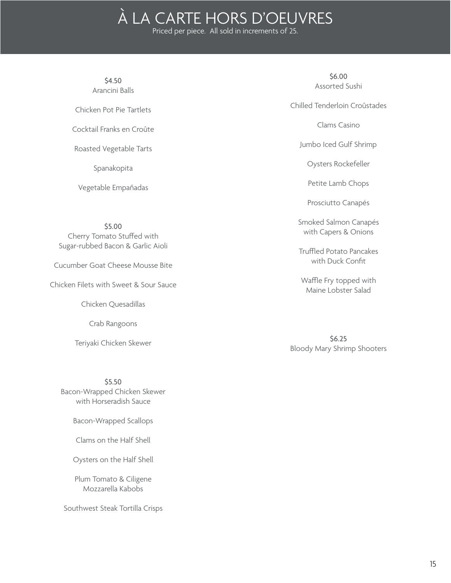# À LA CARTE HORS D'OEUVRES

Priced per piece. All sold in increments of 25.

\$4.50 Arancini Balls

Chicken Pot Pie Tartlets

Cocktail Franks en Croûte

Roasted Vegetable Tarts

Spanakopita

Vegetable Empañadas

\$5.00 Cherry Tomato Stuffed with Sugar-rubbed Bacon & Garlic Aioli

Cucumber Goat Cheese Mousse Bite

Chicken Filets with Sweet & Sour Sauce

Chicken Quesadillas

Crab Rangoons

Teriyaki Chicken Skewer

\$5.50 Bacon-Wrapped Chicken Skewer with Horseradish Sauce

Bacon-Wrapped Scallops

Clams on the Half Shell

Oysters on the Half Shell

Plum Tomato & Ciligene Mozzarella Kabobs

Southwest Steak Tortilla Crisps

\$6.00 Assorted Sushi

Chilled Tenderloin Croûstades

Clams Casino

Jumbo Iced Gulf Shrimp

Oysters Rockefeller

Petite Lamb Chops

Prosciutto Canapés

Smoked Salmon Canapés with Capers & Onions

Truffled Potato Pancakes with Duck Confit

Waffle Fry topped with Maine Lobster Salad

\$6.25 Bloody Mary Shrimp Shooters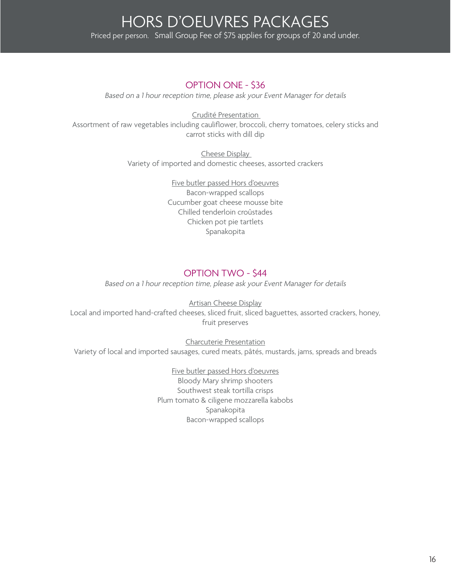## OPTION ONE - \$36

Based on a 1 hour reception time, please ask your Event Manager for details

Crudité Presentation Assortment of raw vegetables including cauliflower, broccoli, cherry tomatoes, celery sticks and carrot sticks with dill dip

> Cheese Display Variety of imported and domestic cheeses, assorted crackers

> > Five butler passed Hors d'oeuvres Bacon-wrapped scallops Cucumber goat cheese mousse bite Chilled tenderloin croûstades Chicken pot pie tartlets Spanakopita

## OPTION TWO - \$44

Based on a 1 hour reception time, please ask your Event Manager for details

Artisan Cheese Display Local and imported hand-crafted cheeses, sliced fruit, sliced baguettes, assorted crackers, honey, fruit preserves

Charcuterie Presentation Variety of local and imported sausages, cured meats, pâtés, mustards, jams, spreads and breads

> Five butler passed Hors d'oeuvres Bloody Mary shrimp shooters Southwest steak tortilla crisps Plum tomato & ciligene mozzarella kabobs Spanakopita Bacon-wrapped scallops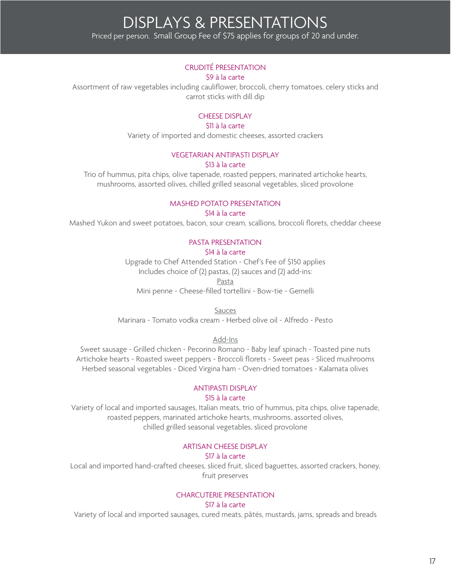# DISPLAYS & PRESENTATIONS Priced per person. Small Group Fee of \$75 applies for groups of 20 and under.

#### CRUDITÉ PRESENTATION

#### \$9 à la carte

Assortment of raw vegetables including cauliflower, broccoli, cherry tomatoes, celery sticks and carrot sticks with dill dip

#### CHEESE DISPLAY

#### \$11 à la carte

Variety of imported and domestic cheeses, assorted crackers

#### VEGETARIAN ANTIPASTI DISPLAY

#### \$13 à la carte

Trio of hummus, pita chips, olive tapenade, roasted peppers, marinated artichoke hearts, mushrooms, assorted olives, chilled grilled seasonal vegetables, sliced provolone

#### MASHED POTATO PRESENTATION

#### \$14 à la carte

Mashed Yukon and sweet potatoes, bacon, sour cream, scallions, broccoli florets, cheddar cheese

#### PASTA PRESENTATION

#### \$14 à la carte

Upgrade to Chef Attended Station - Chef's Fee of \$150 applies Includes choice of (2) pastas, (2) sauces and (2) add-ins:

Pasta

Mini penne - Cheese-filled tortellini - Bow-tie - Gemelli

Sauces

Marinara - Tomato vodka cream - Herbed olive oil - Alfredo - Pesto

Add-Ins

Sweet sausage - Grilled chicken - Pecorino Romano - Baby leaf spinach - Toasted pine nuts Artichoke hearts - Roasted sweet peppers - Broccoli florets - Sweet peas - Sliced mushrooms Herbed seasonal vegetables - Diced Virgina ham - Oven-dried tomatoes - Kalamata olives

#### ANTIPASTI DISPLAY

#### \$15 à la carte

Variety of local and imported sausages, Italian meats, trio of hummus, pita chips, olive tapenade, roasted peppers, marinated artichoke hearts, mushrooms, assorted olives, chilled grilled seasonal vegetables, sliced provolone

#### ARTISAN CHEESE DISPLAY

#### \$17 à la carte

Local and imported hand-crafted cheeses, sliced fruit, sliced baguettes, assorted crackers, honey, fruit preserves

### CHARCUTERIE PRESENTATION

#### \$17 à la carte

Variety of local and imported sausages, cured meats, pâtés, mustards, jams, spreads and breads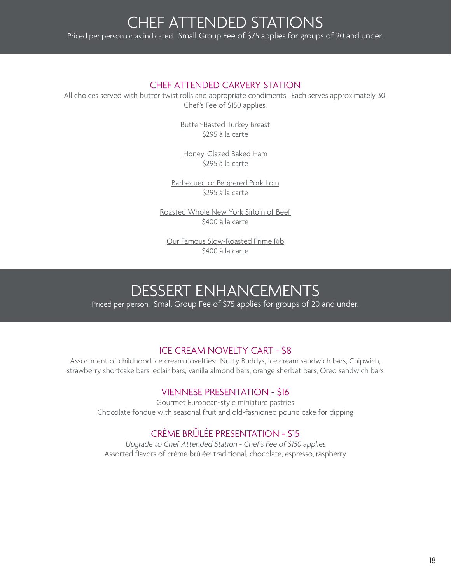## CHEF ATTENDED CARVERY STATION

All choices served with butter twist rolls and appropriate condiments. Each serves approximately 30. Chef's Fee of \$150 applies.

> Butter-Basted Turkey Breast \$295 à la carte

Honey-Glazed Baked Ham \$295 à la carte

Barbecued or Peppered Pork Loin \$295 à la carte

Roasted Whole New York Sirloin of Beef \$400 à la carte

Our Famous Slow-Roasted Prime Rib \$400 à la carte

# DESSERT ENHANCEMENTS

Priced per person. Small Group Fee of \$75 applies for groups of 20 and under.

## ICE CREAM NOVELTY CART - \$8

Assortment of childhood ice cream novelties: Nutty Buddys, ice cream sandwich bars, Chipwich, strawberry shortcake bars, eclair bars, vanilla almond bars, orange sherbet bars, Oreo sandwich bars

## VIENNESE PRESENTATION - \$16

Gourmet European-style miniature pastries Chocolate fondue with seasonal fruit and old-fashioned pound cake for dipping

# CRÈME BRÛLÉE PRESENTATION - \$15

Upgrade to Chef Attended Station - Chef's Fee of \$150 applies Assorted flavors of crème brûlée: traditional, chocolate, espresso, raspberry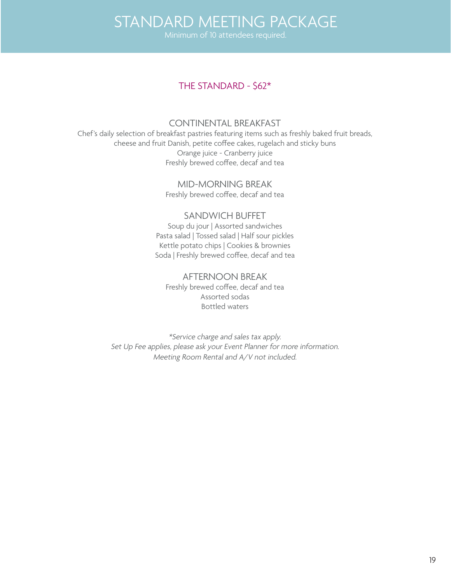# STANDARD MEETING PACKAGE

## THE STANDARD - \$62\*

### CONTINENTAL BREAKFAST

Chef's daily selection of breakfast pastries featuring items such as freshly baked fruit breads, cheese and fruit Danish, petite coffee cakes, rugelach and sticky buns Orange juice - Cranberry juice Freshly brewed coffee, decaf and tea

> MID-MORNING BREAK Freshly brewed coffee, decaf and tea

## SANDWICH BUFFET

Soup du jour | Assorted sandwiches Pasta salad | Tossed salad | Half sour pickles Kettle potato chips | Cookies & brownies Soda | Freshly brewed coffee, decaf and tea

AFTERNOON BREAK

Freshly brewed coffee, decaf and tea Assorted sodas Bottled waters

\*Service charge and sales tax apply. Set Up Fee applies, please ask your Event Planner for more information. Meeting Room Rental and A/V not included.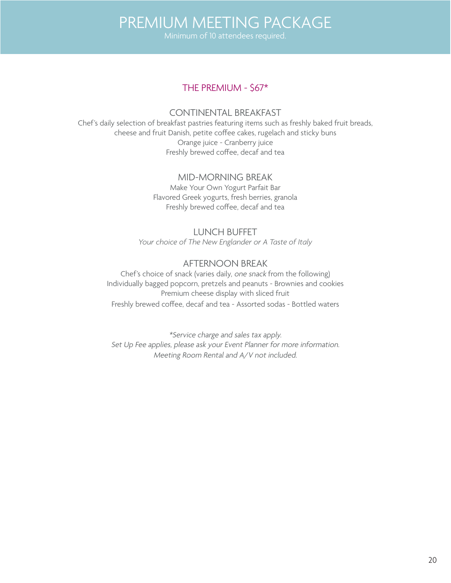# PREMIUM MEETING PACKAGE

## THE PREMIUM - \$67\*

## CONTINENTAL BREAKFAST

Chef's daily selection of breakfast pastries featuring items such as freshly baked fruit breads, cheese and fruit Danish, petite coffee cakes, rugelach and sticky buns Orange juice - Cranberry juice Freshly brewed coffee, decaf and tea

### MID-MORNING BREAK

Make Your Own Yogurt Parfait Bar Flavored Greek yogurts, fresh berries, granola Freshly brewed coffee, decaf and tea

## LUNCH BUFFET

*Your choice of The New Englander or A Taste of Italy*

## AFTERNOON BREAK

Chef's choice of snack (varies daily, one snack from the following) Individually bagged popcorn, pretzels and peanuts - Brownies and cookies Premium cheese display with sliced fruit Freshly brewed coffee, decaf and tea - Assorted sodas - Bottled waters

\*Service charge and sales tax apply. Set Up Fee applies, please ask your Event Planner for more information. Meeting Room Rental and A/V not included.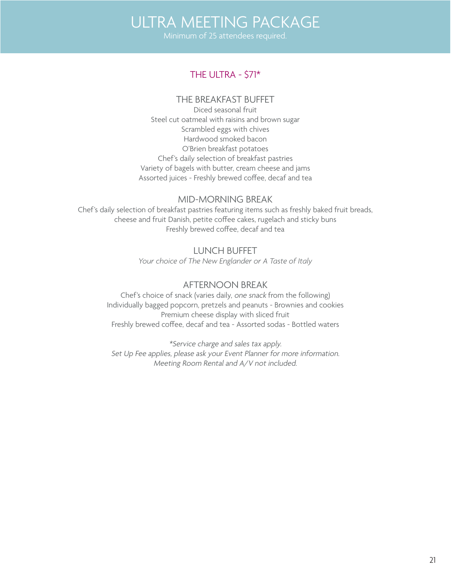# ULTRA MEETING PACKAGE

## THE ULTRA - \$71\*

## THE BREAKFAST BUFFET

Diced seasonal fruit Steel cut oatmeal with raisins and brown sugar Scrambled eggs with chives Hardwood smoked bacon O'Brien breakfast potatoes Chef's daily selection of breakfast pastries Variety of bagels with butter, cream cheese and jams Assorted juices - Freshly brewed coffee, decaf and tea

## MID-MORNING BREAK

Chef's daily selection of breakfast pastries featuring items such as freshly baked fruit breads, cheese and fruit Danish, petite coffee cakes, rugelach and sticky buns Freshly brewed coffee, decaf and tea

> LUNCH BUFFET *Your choice of The New Englander or A Taste of Italy*

## AFTERNOON BREAK

Chef's choice of snack (varies daily, one snack from the following) Individually bagged popcorn, pretzels and peanuts - Brownies and cookies Premium cheese display with sliced fruit Freshly brewed coffee, decaf and tea - Assorted sodas - Bottled waters

\*Service charge and sales tax apply. Set Up Fee applies, please ask your Event Planner for more information. Meeting Room Rental and A/V not included.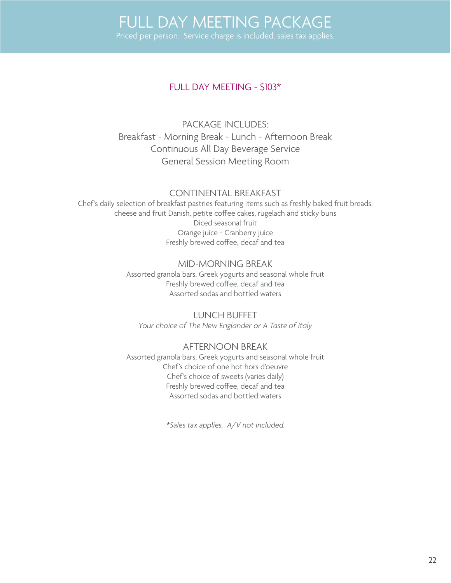## FULL DAY MEETING - \$103\*

PACKAGE INCLUDES: Breakfast - Morning Break - Lunch - Afternoon Break Continuous All Day Beverage Service General Session Meeting Room

## CONTINENTAL BREAKFAST

Chef's daily selection of breakfast pastries featuring items such as freshly baked fruit breads, cheese and fruit Danish, petite coffee cakes, rugelach and sticky buns Diced seasonal fruit Orange juice - Cranberry juice Freshly brewed coffee, decaf and tea

## MID-MORNING BREAK

Assorted granola bars, Greek yogurts and seasonal whole fruit Freshly brewed coffee, decaf and tea Assorted sodas and bottled waters

LUNCH BUFFET *Your choice of The New Englander or A Taste of Italy*

## AFTERNOON BREAK

Assorted granola bars, Greek yogurts and seasonal whole fruit Chef's choice of one hot hors d'oeuvre Chef's choice of sweets (varies daily) Freshly brewed coffee, decaf and tea Assorted sodas and bottled waters

\*Sales tax applies. A/V not included.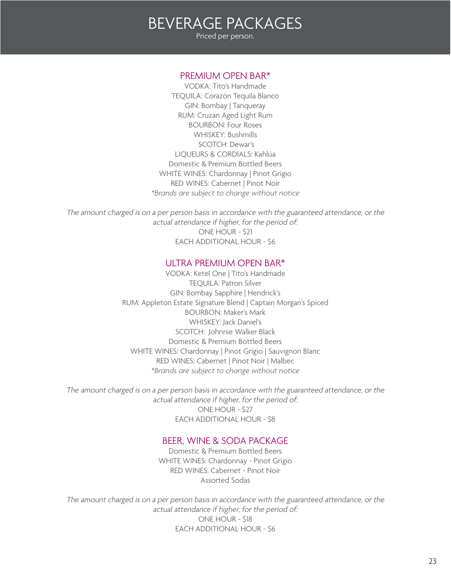# BEVERAGE PACKAGES Priced per person.

#### PREMIUM OPEN BAR\*

VODKA: Tito's Handmade TEQUILA: Corazón Tequila Blanco GIN: Bombay | Tanqueray RUM: Cruzan Aged Light Rum BOURBON: Four Roses WHISKEY: Bushmills SCOTCH: Dewar's LIQUEURS & CORDIALS: Kahlúa Domestic & Premium Bottled Beers WHITE WINES: Chardonnay | Pinot Grigio RED WINES: Cabernet | Pinot Noir *\*Brands are subject to change without notice*

The amount charged is on a per person basis in accordance with the guaranteed attendance, or the actual attendance if higher, for the period of: ONE HOUR - \$21 EACH ADDITIONAL HOUR - \$6

#### ULTRA PREMIUM OPEN BAR\*

VODKA: Ketel One | Tito's Handmade TEQUILA: Patron Silver GIN: Bombay Sapphire | Hendrick's RUM: Appleton Estate Signature Blend | Captain Morgan's Spiced BOURBON: Maker's Mark WHISKEY: Jack Daniel's SCOTCH: Johnnie Walker Black Domestic & Premium Bottled Beers WHITE WINES: Chardonnay | Pinot Grigio | Sauvignon Blanc RED WINES: Cabernet | Pinot Noir | Malbec *\*Brands are subject to change without notice*

The amount charged is on a per person basis in accordance with the guaranteed attendance, or the actual attendance if higher, for the period of: ONE HOUR - \$27 EACH ADDITIONAL HOUR - \$8

### BEER, WINE & SODA PACKAGE

Domestic & Premium Bottled Beers WHITE WINES: Chardonnay - Pinot Grigio RED WINES: Cabernet - Pinot Noir Assorted Sodas

The amount charged is on a per person basis in accordance with the guaranteed attendance, or the actual attendance if higher, for the period of: ONE HOUR - \$18 EACH ADDITIONAL HOUR - \$6